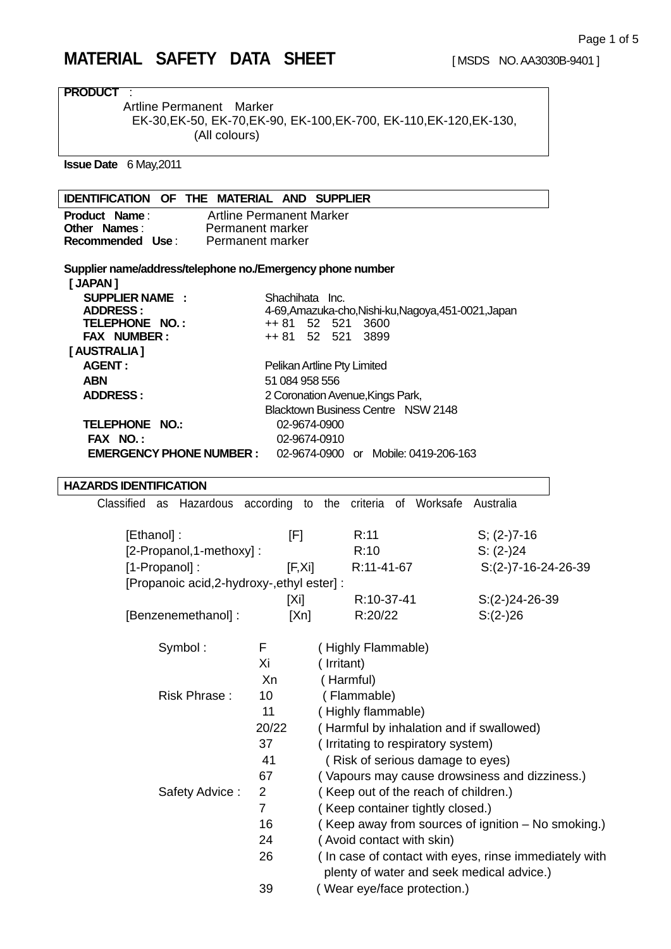| <b>PRODUCT</b>                                             |                                 |                                                                         |                                                       |
|------------------------------------------------------------|---------------------------------|-------------------------------------------------------------------------|-------------------------------------------------------|
| Artline Permanent Marker                                   |                                 |                                                                         |                                                       |
|                                                            |                                 | EK-30, EK-50, EK-70, EK-90, EK-100, EK-700, EK-110, EK-120, EK-130,     |                                                       |
| (All colours)                                              |                                 |                                                                         |                                                       |
|                                                            |                                 |                                                                         |                                                       |
| <b>Issue Date</b> 6 May, 2011                              |                                 |                                                                         |                                                       |
| <b>IDENTIFICATION OF THE MATERIAL AND SUPPLIER</b>         |                                 |                                                                         |                                                       |
| <b>Product Name:</b>                                       | <b>Artline Permanent Marker</b> |                                                                         |                                                       |
| <b>Other Names:</b>                                        | Permanent marker                |                                                                         |                                                       |
| Recommended Use:                                           | Permanent marker                |                                                                         |                                                       |
| Supplier name/address/telephone no./Emergency phone number |                                 |                                                                         |                                                       |
| [ JAPAN ]                                                  |                                 |                                                                         |                                                       |
| <b>SUPPLIER NAME:</b>                                      | Shachihata Inc.                 |                                                                         |                                                       |
| <b>ADDRESS:</b><br>TELEPHONE NO.:                          | ++ 81                           | 4-69, Amazuka-cho, Nishi-ku, Nagoya, 451-0021, Japan<br>3600<br>52 521  |                                                       |
| FAX NUMBER:                                                |                                 | ++ 81 52 521<br>3899                                                    |                                                       |
| [AUSTRALIA]                                                |                                 |                                                                         |                                                       |
| <b>AGENT:</b>                                              |                                 | Pelikan Artline Pty Limited                                             |                                                       |
| <b>ABN</b>                                                 | 51 084 958 556                  |                                                                         |                                                       |
| <b>ADDRESS:</b>                                            |                                 | 2 Coronation Avenue, Kings Park,                                        |                                                       |
|                                                            |                                 | <b>Blacktown Business Centre NSW 2148</b>                               |                                                       |
| <b>TELEPHONE NO.:</b>                                      |                                 | 02-9674-0900                                                            |                                                       |
| FAX NO.:                                                   |                                 | 02-9674-0910                                                            |                                                       |
| <b>EMERGENCY PHONE NUMBER :</b>                            |                                 | 02-9674-0900 or Mobile: 0419-206-163                                    |                                                       |
| <b>HAZARDS IDENTIFICATION</b>                              |                                 |                                                                         |                                                       |
|                                                            |                                 | Classified as Hazardous according to the criteria of Worksafe Australia |                                                       |
|                                                            |                                 |                                                                         |                                                       |
| [Ethanol]:                                                 | [F]                             | R:11                                                                    | $S; (2-)7-16$                                         |
| [2-Propanol,1-methoxy]:                                    |                                 | R:10                                                                    | $S: (2-)24$                                           |
| [1-Propanol]:                                              | [F,Xi]                          | R:11-41-67                                                              | $S:(2-)7-16-24-26-39$                                 |
| [Propanoic acid, 2-hydroxy-, ethyl ester] :                |                                 |                                                                         |                                                       |
|                                                            | $[X_i]$                         | R:10-37-41                                                              | $S:(2-)24-26-39$                                      |
| [Benzenemethanol] :                                        | [Xn]                            | R:20/22                                                                 | $S:(2-)26$                                            |
|                                                            |                                 |                                                                         |                                                       |
| Symbol:                                                    | F                               | (Highly Flammable)                                                      |                                                       |
|                                                            | Xi                              | (Irritant)                                                              |                                                       |
|                                                            | Xn                              | (Harmful)                                                               |                                                       |
| Risk Phrase:                                               | 10                              | (Flammable)                                                             |                                                       |
|                                                            | 11                              | (Highly flammable)                                                      |                                                       |
|                                                            | 20/22                           | (Harmful by inhalation and if swallowed)                                |                                                       |
|                                                            | 37                              | (Irritating to respiratory system)                                      |                                                       |
|                                                            | 41                              | (Risk of serious damage to eyes)                                        |                                                       |
|                                                            | 67                              | (Vapours may cause drowsiness and dizziness.)                           |                                                       |
| Safety Advice:                                             | 2                               | (Keep out of the reach of children.)                                    |                                                       |
|                                                            | $\overline{7}$                  | (Keep container tightly closed.)                                        |                                                       |
|                                                            | 16                              |                                                                         | (Keep away from sources of ignition – No smoking.)    |
|                                                            | 24                              | (Avoid contact with skin)                                               |                                                       |
|                                                            | 26                              |                                                                         | (In case of contact with eyes, rinse immediately with |
|                                                            |                                 | plenty of water and seek medical advice.)                               |                                                       |
|                                                            | 39                              | Wear eye/face protection.)                                              |                                                       |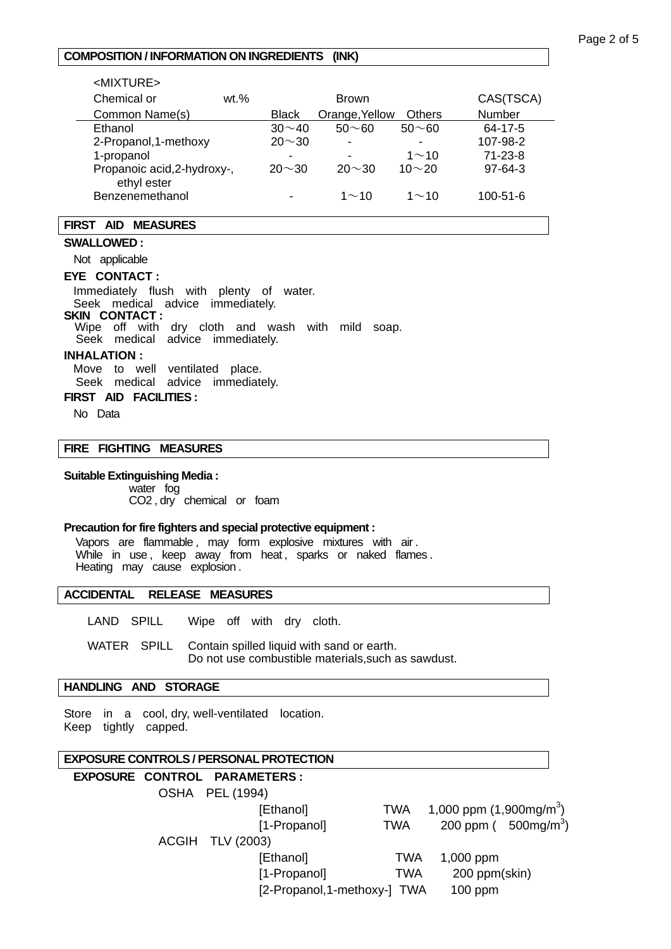## **COMPOSITION / INFORMATION ON INGREDIENTS (INK)**

| $<$ MIXTURE $>$                            |        |                          |                |               |                |
|--------------------------------------------|--------|--------------------------|----------------|---------------|----------------|
| Chemical or                                | $wt$ % |                          | <b>Brown</b>   |               | CAS(TSCA)      |
| Common Name(s)                             |        | <b>Black</b>             | Orange, Yellow | <b>Others</b> | Number         |
| Ethanol                                    |        | $30 \sim 40$             | $50 - 60$      | $50 - 60$     | 64-17-5        |
| 2-Propanol, 1-methoxy                      |        | $20 \sim 30$             | $\blacksquare$ | ۰             | 107-98-2       |
| 1-propanol                                 |        | $\overline{\phantom{0}}$ |                | $1 \sim 10$   | $71 - 23 - 8$  |
| Propanoic acid, 2-hydroxy-,<br>ethyl ester |        | $20 \sim 30$             | $20 \sim 30$   | $10 - 20$     | $97-64-3$      |
| Benzenemethanol                            |        | ٠                        | $1 \sim 10$    | 1 $\sim$ 10   | $100 - 51 - 6$ |

## **FIRST AID MEASURES**

#### **SWALLOWED :**

Not applicable

## **EYE CONTACT :**

 Immediately flush with plenty of water. Seek medical advice immediately.

#### **SKIN CONTACT :**

Wipe off with dry cloth and wash with mild soap.

Seek medical advice immediately.

## **INHALATION :**

Move to well ventilated place.

Seek medical advice immediately.

## **FIRST AID FACILITIES :**

No Data

#### **FIRE FIGHTING MEASURES**

#### **Suitable Extinguishing Media :**

 water fog CO2 , dry chemical or foam

### **Precaution for fire fighters and special protective equipment :**

Vapors are flammable , may form explosive mixtures with air . While in use, keep away from heat, sparks or naked flames. Heating may cause explosion .

#### **ACCIDENTAL RELEASE MEASURES**

LAND SPILL Wipe off with dry cloth.

 WATER SPILL Contain spilled liquid with sand or earth. Do not use combustible materials,such as sawdust.

# **HANDLING AND STORAGE**

Store in a cool, dry, well-ventilated location. Keep tightly capped.

## **EXPOSURE CONTROLS / PERSONAL PROTECTION**

# **EXPOSURE CONTROL PARAMETERS :**  OSHA PEL (1994)  $[Ethanol]$  TWA  $1,000$  ppm  $(1,900$ mg/m<sup>3</sup>)  $[1-Propanol]$  TWA 200 ppm (500mg/m<sup>3</sup>) ACGIH TLV (2003) [Ethanol] TWA 1,000 ppm [1-Propanol] TWA 200 ppm(skin) [2-Propanol,1-methoxy-] TWA 100 ppm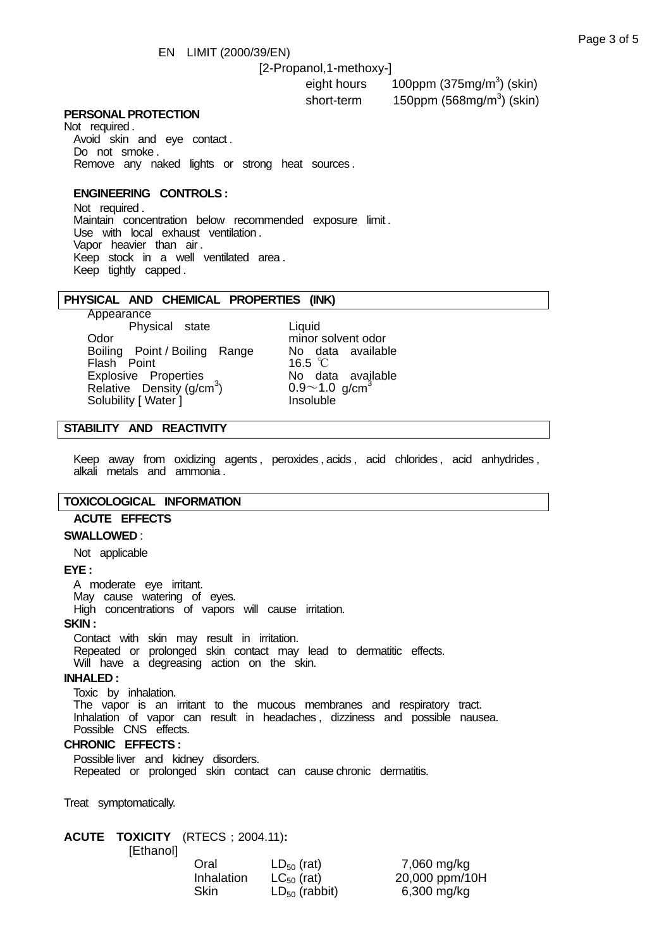#### [2-Propanol,1-methoxy-]

eight hours and the 100ppm (375mg/m<sup>3</sup>) (skin) short-term 150ppm (568mg/m<sup>3</sup>) (skin)

#### **PERSONAL PROTECTION**

Not required . Avoid skin and eye contact . Do not smoke . Remove any naked lights or strong heat sources .

## **ENGINEERING CONTROLS :**

 Not required . Maintain concentration below recommended exposure limit . Use with local exhaust ventilation . Vapor heavier than air . Keep stock in a well ventilated area . Keep tightly capped .

#### **PHYSICAL AND CHEMICAL PROPERTIES (INK)**

 Appearance Physical state **Liquid**<br>Odor minor Boiling Point / Boiling Range Flash Point 16.5 ℃<br>Explosive Properties 16.5 ℃<br>No data available Explosive Properties Relative Density  $(g/cm<sup>3</sup>)$ Solubility [ Water ] **Insoluble** 

minor solvent odor<br>No data available  $0.9 \sim 1.0$  g/cm<sup>3</sup>

## **STABILITY AND REACTIVITY**

Keep away from oxidizing agents, peroxides, acids, acid chlorides, acid anhydrides, alkali metals and ammonia .

## **TOXICOLOGICAL INFORMATION**

#### **ACUTE EFFECTS**

#### **SWALLOWED** :

Not applicable

#### **EYE :**

 A moderate eye irritant. May cause watering of eyes.

High concentrations of vapors will cause irritation.

**SKIN :** 

 Contact with skin may result in irritation. Repeated or prolonged skin contact may lead to dermatitic effects. Will have a degreasing action on the skin.

#### **INHALED :**

 Toxic by inhalation. The vapor is an irritant to the mucous membranes and respiratory tract. Inhalation of vapor can result in headaches , dizziness and possible nausea. Possible CNS effects.

#### **CHRONIC EFFECTS :**

 Possible liver and kidney disorders. Repeated or prolonged skin contact can cause chronic dermatitis.

Treat symptomatically.

# **ACUTE TOXICITY** (RTECS;2004.11)**:**

[Ethanol]

| Oral       | $LD_{50}$ (rat)    | 7,060 mg/kg    |
|------------|--------------------|----------------|
| Inhalation | $LC_{50}$ (rat)    | 20,000 ppm/10H |
| Skin       | $LD_{50}$ (rabbit) | 6,300 mg/kg    |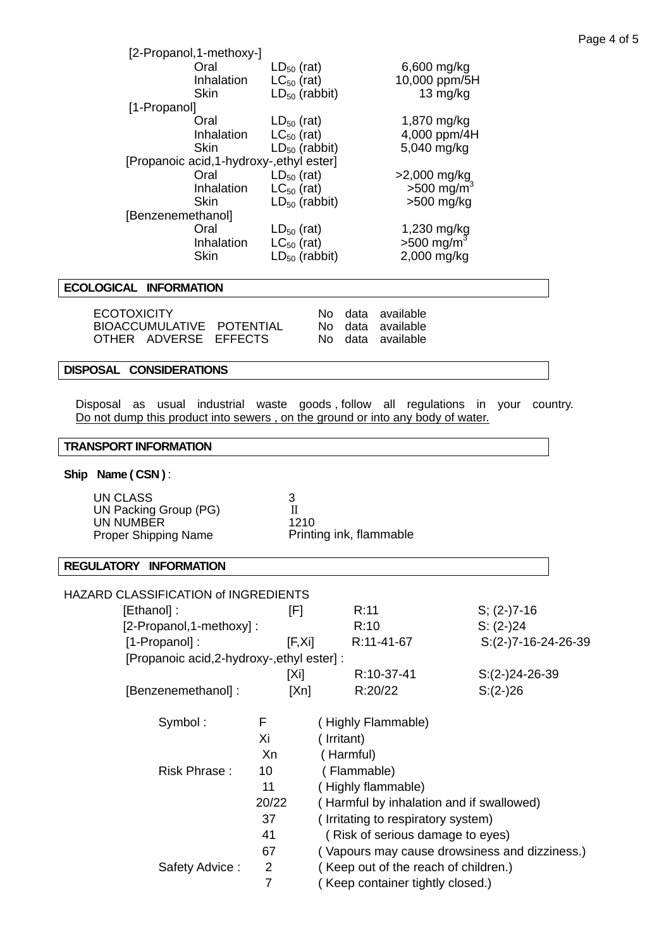|                   | [2-Propanol, 1-methoxy-]                  |                    |                                                 |  |
|-------------------|-------------------------------------------|--------------------|-------------------------------------------------|--|
|                   | Oral                                      | $LD_{50}$ (rat)    | 6,600 mg/kg                                     |  |
|                   | Inhalation                                | $LC_{50}$ (rat)    | 10,000 ppm/5H                                   |  |
|                   | <b>Skin</b>                               | $LD_{50}$ (rabbit) | 13 mg/kg                                        |  |
| [1-Propanol]      |                                           |                    |                                                 |  |
|                   | Oral                                      | $LD_{50}$ (rat)    | 1,870 mg/kg                                     |  |
|                   | Inhalation                                | $LC_{50}$ (rat)    | 4,000 ppm/4H                                    |  |
|                   | <b>Skin</b>                               | $LD_{50}$ (rabbit) | 5,040 mg/kg                                     |  |
|                   | [Propanoic acid, 1-hydroxy-, ethyl ester] |                    |                                                 |  |
|                   | Oral                                      | $LD_{50}$ (rat)    |                                                 |  |
|                   | Inhalation                                | $LC_{50}$ (rat)    | $>2,000 \text{ mg/kg}$<br>$>500 \text{ mg/m}^3$ |  |
|                   | <b>Skin</b>                               | $LD_{50}$ (rabbit) | $>500$ mg/kg                                    |  |
| [Benzenemethanol] |                                           |                    |                                                 |  |
|                   | Oral                                      | $LD_{50}$ (rat)    | 1,230 mg/kg                                     |  |
|                   | Inhalation                                | $LC_{50}$ (rat)    | $>500$ mg/m <sup>3</sup>                        |  |
|                   | <b>Skin</b>                               | $LD_{50}$ (rabbit) | 2,000 mg/kg                                     |  |
|                   |                                           |                    |                                                 |  |

# **ECOLOGICAL INFORMATION**

| <b>ECOTOXICITY</b>        |  | No data available |
|---------------------------|--|-------------------|
| BIOACCUMULATIVE POTENTIAL |  | No data available |
| OTHER ADVERSE EFFECTS     |  | No data available |

## **DISPOSAL CONSIDERATIONS**

 Disposal as usual industrial waste goods , follow all regulations in your country. Do not dump this product into sewers , on the ground or into any body of water.

# **TRANSPORT INFORMATION**

## **Ship Name ( CSN )** :

| UN CLASS                    |                         |
|-----------------------------|-------------------------|
| UN Packing Group (PG)       |                         |
| UN NUMBER                   | 1210                    |
| <b>Proper Shipping Name</b> | Printing ink, flammable |

## **REGULATORY INFORMATION**

| HAZARD CLASSIFICATION of INGREDIENTS        |        |                                          |                                               |  |
|---------------------------------------------|--------|------------------------------------------|-----------------------------------------------|--|
| [Ethanol]:<br>[F]                           |        | R:11                                     | $S; (2-)7-16$                                 |  |
| [2-Propanol,1-methoxy]:                     |        | R:10                                     | $S: (2-)24$                                   |  |
| [1-Propanol]:                               | [F,Xi] | R:11-41-67                               | $S:(2-)7-16-24-26-39$                         |  |
| [Propanoic acid, 2-hydroxy-, ethyl ester] : |        |                                          |                                               |  |
|                                             | [Xi]   | R:10-37-41                               | $S:(2-)24-26-39$                              |  |
| [Benzenemethanol] :                         | [Xn]   | R:20/22                                  | $S:(2-)26$                                    |  |
| Symbol:                                     | F.     | (Highly Flammable)                       |                                               |  |
|                                             | Χi     | (Irritant)                               |                                               |  |
|                                             | Xn     | (Harmful)                                |                                               |  |
| Risk Phrase:                                | 10     | (Flammable)                              |                                               |  |
|                                             | 11     | (Highly flammable)                       |                                               |  |
|                                             | 20/22  | (Harmful by inhalation and if swallowed) |                                               |  |
|                                             | 37     | (Irritating to respiratory system)       |                                               |  |
|                                             | 41     | (Risk of serious damage to eyes)         |                                               |  |
|                                             | 67     |                                          | (Vapours may cause drowsiness and dizziness.) |  |
| Safety Advice:                              | 2      | (Keep out of the reach of children.)     |                                               |  |
|                                             | 7      | Keep container tightly closed.)          |                                               |  |